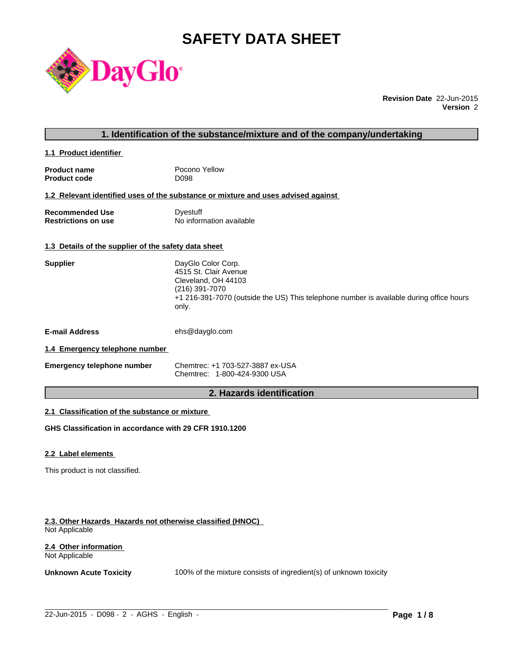# **SAFETY DATA SHEET**



**Revision Date** 22-Jun-2015 **Version** 2

### **1. Identification of the substance/mixture and of the company/undertaking**

**1.1 Product identifier** 

| <b>Product name</b> | Pocono Yellow |
|---------------------|---------------|
| <b>Product code</b> | D098          |

#### **1.2 Relevant identified uses of the substance or mixture and uses advised against**

| <b>Recommended Use</b>     | Dyestuff                 |
|----------------------------|--------------------------|
| <b>Restrictions on use</b> | No information available |

### **1.3 Details of the supplier of the safety data sheet**

| <b>Supplier</b>                | DayGlo Color Corp.<br>4515 St. Clair Avenue<br>Cleveland, OH 44103<br>(216) 391-7070<br>+1 216-391-7070 (outside the US) This telephone number is available during office hours<br>only. |
|--------------------------------|------------------------------------------------------------------------------------------------------------------------------------------------------------------------------------------|
| <b>E-mail Address</b>          | ehs@dayglo.com                                                                                                                                                                           |
| 1.4 Emergency telephone number |                                                                                                                                                                                          |

### **1.4 Emergency telephone number**

| <b>Emergency telephone number</b> | Chemtrec: +1 703-527-3887 ex-USA |
|-----------------------------------|----------------------------------|
|                                   | Chemtrec: 1-800-424-9300 USA     |

### **2. Hazards identification**

### **2.1 Classification of the substance or mixture**

**GHS Classification in accordance with 29 CFR 1910.1200**

#### **2.2 Label elements**

This product is not classified.

#### **2.3. Other Hazards Hazards not otherwise classified (HNOC)**  Not Applicable

#### **2.4 Other information**  Not Applicable

**Unknown Acute Toxicity** 100% of the mixture consists of ingredient(s) of unknown toxicity

 $\_$  ,  $\_$  ,  $\_$  ,  $\_$  ,  $\_$  ,  $\_$  ,  $\_$  ,  $\_$  ,  $\_$  ,  $\_$  ,  $\_$  ,  $\_$  ,  $\_$  ,  $\_$  ,  $\_$  ,  $\_$  ,  $\_$  ,  $\_$  ,  $\_$  ,  $\_$  ,  $\_$  ,  $\_$  ,  $\_$  ,  $\_$  ,  $\_$  ,  $\_$  ,  $\_$  ,  $\_$  ,  $\_$  ,  $\_$  ,  $\_$  ,  $\_$  ,  $\_$  ,  $\_$  ,  $\_$  ,  $\_$  ,  $\_$  ,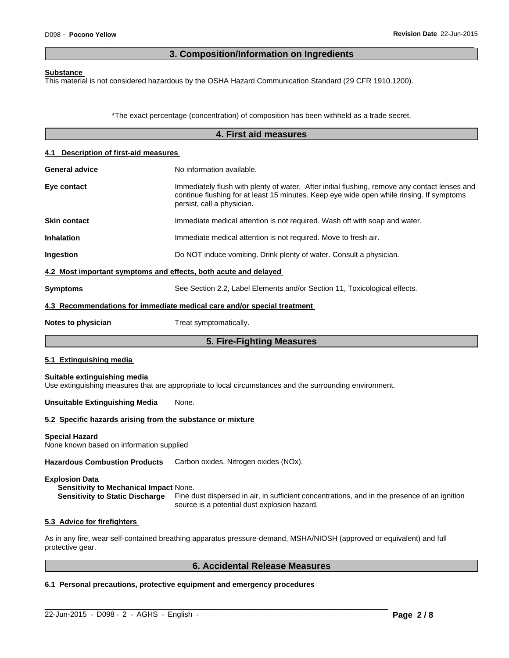### **3. Composition/Information on Ingredients**

 $\overline{\phantom{a}}$  ,  $\overline{\phantom{a}}$  ,  $\overline{\phantom{a}}$  ,  $\overline{\phantom{a}}$  ,  $\overline{\phantom{a}}$  ,  $\overline{\phantom{a}}$  ,  $\overline{\phantom{a}}$  ,  $\overline{\phantom{a}}$  ,  $\overline{\phantom{a}}$  ,  $\overline{\phantom{a}}$  ,  $\overline{\phantom{a}}$  ,  $\overline{\phantom{a}}$  ,  $\overline{\phantom{a}}$  ,  $\overline{\phantom{a}}$  ,  $\overline{\phantom{a}}$  ,  $\overline{\phantom{a}}$ 

#### **Substance**

This material is not considered hazardous by the OSHA Hazard Communication Standard (29 CFR 1910.1200).

\*The exact percentage (concentration) of composition has been withheld as a trade secret.

|                                                                   | 4. First aid measures                                                                                                                                                                                                   |
|-------------------------------------------------------------------|-------------------------------------------------------------------------------------------------------------------------------------------------------------------------------------------------------------------------|
| 4.1 Description of first-aid measures                             |                                                                                                                                                                                                                         |
| <b>General advice</b>                                             | No information available.                                                                                                                                                                                               |
| Eye contact                                                       | Immediately flush with plenty of water. After initial flushing, remove any contact lenses and<br>continue flushing for at least 15 minutes. Keep eye wide open while rinsing. If symptoms<br>persist, call a physician. |
| <b>Skin contact</b>                                               | Immediate medical attention is not required. Wash off with soap and water.                                                                                                                                              |
| <b>Inhalation</b>                                                 | Immediate medical attention is not required. Move to fresh air.                                                                                                                                                         |
| Ingestion                                                         | Do NOT induce vomiting. Drink plenty of water. Consult a physician.                                                                                                                                                     |
| 4.2 Most important symptoms and effects, both acute and delayed   |                                                                                                                                                                                                                         |
| <b>Symptoms</b>                                                   | See Section 2.2, Label Elements and/or Section 11, Toxicological effects.                                                                                                                                               |
|                                                                   | 4.3 Recommendations for immediate medical care and/or special treatment                                                                                                                                                 |
| Notes to physician                                                | Treat symptomatically.                                                                                                                                                                                                  |
|                                                                   | 5. Fire-Fighting Measures                                                                                                                                                                                               |
| 5.1 Extinguishing media                                           |                                                                                                                                                                                                                         |
| Suitable extinguishing media                                      | Use extinguishing measures that are appropriate to local circumstances and the surrounding environment.                                                                                                                 |
| <b>Unsuitable Extinguishing Media</b>                             | None.                                                                                                                                                                                                                   |
| 5.2 Specific hazards arising from the substance or mixture        |                                                                                                                                                                                                                         |
| <b>Special Hazard</b><br>None known based on information supplied |                                                                                                                                                                                                                         |
| <b>Hazardous Combustion Products</b>                              | Carbon oxides. Nitrogen oxides (NOx).                                                                                                                                                                                   |
| <b>Explosion Data</b>                                             |                                                                                                                                                                                                                         |

**Sensitivity to Mechanical Impact** None. **Sensitivity to Static Discharge** Fine dust dispersed in air, in sufficient concentrations, and in the presence of an ignition source is a potential dust explosion hazard.

#### **5.3 Advice for firefighters**

As in any fire, wear self-contained breathing apparatus pressure-demand, MSHA/NIOSH (approved or equivalent) and full protective gear.

 $\_$  ,  $\_$  ,  $\_$  ,  $\_$  ,  $\_$  ,  $\_$  ,  $\_$  ,  $\_$  ,  $\_$  ,  $\_$  ,  $\_$  ,  $\_$  ,  $\_$  ,  $\_$  ,  $\_$  ,  $\_$  ,  $\_$  ,  $\_$  ,  $\_$  ,  $\_$  ,  $\_$  ,  $\_$  ,  $\_$  ,  $\_$  ,  $\_$  ,  $\_$  ,  $\_$  ,  $\_$  ,  $\_$  ,  $\_$  ,  $\_$  ,  $\_$  ,  $\_$  ,  $\_$  ,  $\_$  ,  $\_$  ,  $\_$  ,

## **6. Accidental Release Measures**

### **6.1 Personal precautions, protective equipment and emergency procedures**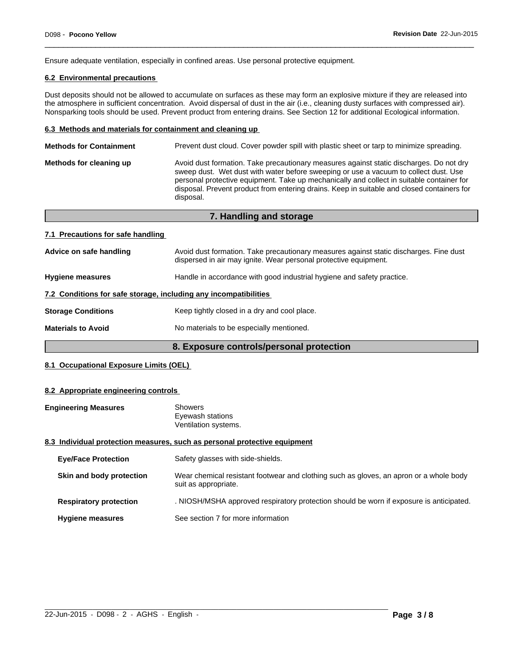Ensure adequate ventilation, especially in confined areas. Use personal protective equipment.

### **6.2 Environmental precautions**

Dust deposits should not be allowed to accumulate on surfaces as these may form an explosive mixture if they are released into the atmosphere in sufficient concentration. Avoid dispersal of dust in the air (i.e., cleaning dusty surfaces with compressed air). Nonsparking tools should be used. Prevent product from entering drains. See Section 12 for additional Ecological information.

 $\overline{\phantom{a}}$  ,  $\overline{\phantom{a}}$  ,  $\overline{\phantom{a}}$  ,  $\overline{\phantom{a}}$  ,  $\overline{\phantom{a}}$  ,  $\overline{\phantom{a}}$  ,  $\overline{\phantom{a}}$  ,  $\overline{\phantom{a}}$  ,  $\overline{\phantom{a}}$  ,  $\overline{\phantom{a}}$  ,  $\overline{\phantom{a}}$  ,  $\overline{\phantom{a}}$  ,  $\overline{\phantom{a}}$  ,  $\overline{\phantom{a}}$  ,  $\overline{\phantom{a}}$  ,  $\overline{\phantom{a}}$ 

#### **6.3 Methods and materials for containment and cleaning up**

| <b>Methods for Containment</b> | Prevent dust cloud. Cover powder spill with plastic sheet or tarp to minimize spreading.                                                                                                                                                                                                                                                                                                |
|--------------------------------|-----------------------------------------------------------------------------------------------------------------------------------------------------------------------------------------------------------------------------------------------------------------------------------------------------------------------------------------------------------------------------------------|
| Methods for cleaning up        | Avoid dust formation. Take precautionary measures against static discharges. Do not dry<br>sweep dust. Wet dust with water before sweeping or use a vacuum to collect dust. Use<br>personal protective equipment. Take up mechanically and collect in suitable container for<br>disposal. Prevent product from entering drains. Keep in suitable and closed containers for<br>disposal. |
|                                |                                                                                                                                                                                                                                                                                                                                                                                         |

|                                                                  | 7. Handling and storage                                                                                                                                    |
|------------------------------------------------------------------|------------------------------------------------------------------------------------------------------------------------------------------------------------|
| 7.1 Precautions for safe handling                                |                                                                                                                                                            |
| Advice on safe handling                                          | Avoid dust formation. Take precautionary measures against static discharges. Fine dust<br>dispersed in air may ignite. Wear personal protective equipment. |
| <b>Hygiene measures</b>                                          | Handle in accordance with good industrial hygiene and safety practice.                                                                                     |
| 7.2 Conditions for safe storage, including any incompatibilities |                                                                                                                                                            |
| <b>Storage Conditions</b>                                        | Keep tightly closed in a dry and cool place.                                                                                                               |
| <b>Materials to Avoid</b>                                        | No materials to be especially mentioned.                                                                                                                   |

### **8. Exposure controls/personal protection**

### **8.1 Occupational Exposure Limits (OEL)**

#### **8.2 Appropriate engineering controls**

| <b>Engineering Measures</b> | Showers                                                                   |
|-----------------------------|---------------------------------------------------------------------------|
|                             | Eyewash stations                                                          |
|                             | Ventilation systems.                                                      |
|                             | 8.3 Individual protection measures, such as personal protective equipment |

#### **8.3 Individual protection measures, such as personal protective equipment**

| <b>Eye/Face Protection</b>    | Safety glasses with side-shields.                                                                              |
|-------------------------------|----------------------------------------------------------------------------------------------------------------|
| Skin and body protection      | Wear chemical resistant footwear and clothing such as gloves, an apron or a whole body<br>suit as appropriate. |
| <b>Respiratory protection</b> | . NIOSH/MSHA approved respiratory protection should be worn if exposure is anticipated.                        |
| <b>Hygiene measures</b>       | See section 7 for more information                                                                             |

 $\_$  ,  $\_$  ,  $\_$  ,  $\_$  ,  $\_$  ,  $\_$  ,  $\_$  ,  $\_$  ,  $\_$  ,  $\_$  ,  $\_$  ,  $\_$  ,  $\_$  ,  $\_$  ,  $\_$  ,  $\_$  ,  $\_$  ,  $\_$  ,  $\_$  ,  $\_$  ,  $\_$  ,  $\_$  ,  $\_$  ,  $\_$  ,  $\_$  ,  $\_$  ,  $\_$  ,  $\_$  ,  $\_$  ,  $\_$  ,  $\_$  ,  $\_$  ,  $\_$  ,  $\_$  ,  $\_$  ,  $\_$  ,  $\_$  ,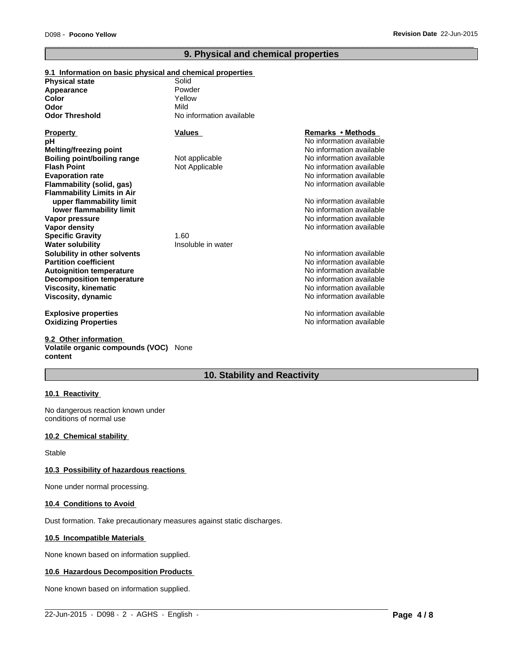### **9. Physical and chemical properties**

 $\overline{\phantom{a}}$  ,  $\overline{\phantom{a}}$  ,  $\overline{\phantom{a}}$  ,  $\overline{\phantom{a}}$  ,  $\overline{\phantom{a}}$  ,  $\overline{\phantom{a}}$  ,  $\overline{\phantom{a}}$  ,  $\overline{\phantom{a}}$  ,  $\overline{\phantom{a}}$  ,  $\overline{\phantom{a}}$  ,  $\overline{\phantom{a}}$  ,  $\overline{\phantom{a}}$  ,  $\overline{\phantom{a}}$  ,  $\overline{\phantom{a}}$  ,  $\overline{\phantom{a}}$  ,  $\overline{\phantom{a}}$ 

| 9.1 Information on basic physical and chemical properties |                          |                          |
|-----------------------------------------------------------|--------------------------|--------------------------|
| <b>Physical state</b>                                     | Solid                    |                          |
| <b>Appearance</b>                                         | Powder                   |                          |
| Color                                                     | Yellow                   |                          |
| Odor                                                      | Mild                     |                          |
| Odor Threshold                                            | No information available |                          |
| Property                                                  | Values                   | Remarks • Methods        |
| pН                                                        |                          | No information available |
| Melting/freezing point                                    |                          | No information available |
| <b>Boiling point/boiling range</b>                        | Not applicable           | No information available |
| <b>Flash Point</b>                                        | Not Applicable           | No information available |
| <b>Evaporation rate</b>                                   |                          | No information available |
| Flammability (solid, gas)                                 |                          | No information available |
| <b>Flammability Limits in Air</b>                         |                          |                          |
| upper flammability limit                                  |                          | No information available |
| lower flammability limit                                  |                          | No information available |
| Vapor pressure                                            |                          | No information available |
| Vapor density                                             |                          | No information available |
| <b>Specific Gravity</b>                                   | 1.60                     |                          |
| Water solubility                                          | Insoluble in water       |                          |
| Solubility in other solvents                              |                          | No information available |
| <b>Partition coefficient</b>                              |                          | No information available |
| Autoignition temperature                                  |                          | No information available |
| <b>Decomposition temperature</b>                          |                          | No information available |
| Viscosity, kinematic                                      |                          | No information available |
| Viscosity, dynamic                                        |                          | No information available |
| <b>Explosive properties</b>                               |                          | No information available |
| <b>Oxidizing Properties</b>                               |                          | No information available |

**9.2 Other information Volatile organic compounds (VOC)** None **content**

### **10. Stability and Reactivity**

 $\_$  ,  $\_$  ,  $\_$  ,  $\_$  ,  $\_$  ,  $\_$  ,  $\_$  ,  $\_$  ,  $\_$  ,  $\_$  ,  $\_$  ,  $\_$  ,  $\_$  ,  $\_$  ,  $\_$  ,  $\_$  ,  $\_$  ,  $\_$  ,  $\_$  ,  $\_$  ,  $\_$  ,  $\_$  ,  $\_$  ,  $\_$  ,  $\_$  ,  $\_$  ,  $\_$  ,  $\_$  ,  $\_$  ,  $\_$  ,  $\_$  ,  $\_$  ,  $\_$  ,  $\_$  ,  $\_$  ,  $\_$  ,  $\_$  ,

### **10.1 Reactivity**

No dangerous reaction known under conditions of normal use

#### **10.2 Chemical stability**

Stable

### **10.3 Possibility of hazardous reactions**

None under normal processing.

#### **10.4 Conditions to Avoid**

Dust formation. Take precautionary measures against static discharges.

#### **10.5 Incompatible Materials**

None known based on information supplied.

#### **10.6 Hazardous Decomposition Products**

None known based on information supplied.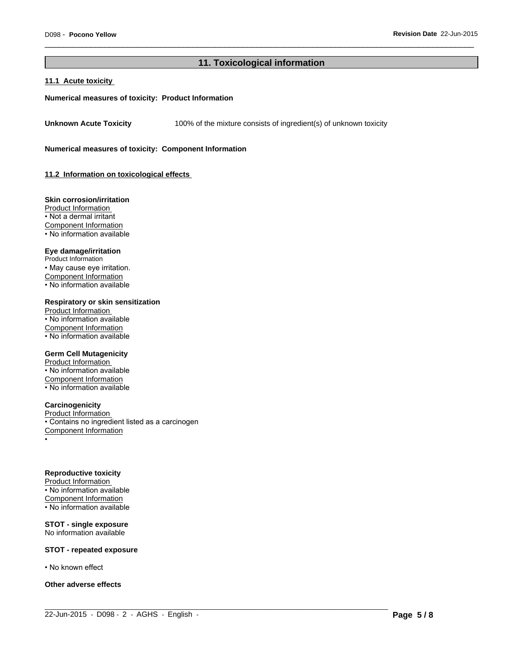### **11. Toxicological information**

 $\_$  ,  $\_$  ,  $\_$  ,  $\_$  ,  $\_$  ,  $\_$  ,  $\_$  ,  $\_$  ,  $\_$  ,  $\_$  ,  $\_$  ,  $\_$  ,  $\_$  ,  $\_$  ,  $\_$  ,  $\_$  ,  $\_$  ,  $\_$  ,  $\_$  ,  $\_$  ,  $\_$  ,  $\_$  ,  $\_$  ,  $\_$  ,  $\_$  ,  $\_$  ,  $\_$  ,  $\_$  ,  $\_$  ,  $\_$  ,  $\_$  ,  $\_$  ,  $\_$  ,  $\_$  ,  $\_$  ,  $\_$  ,  $\_$  ,

 $\overline{\phantom{a}}$  ,  $\overline{\phantom{a}}$  ,  $\overline{\phantom{a}}$  ,  $\overline{\phantom{a}}$  ,  $\overline{\phantom{a}}$  ,  $\overline{\phantom{a}}$  ,  $\overline{\phantom{a}}$  ,  $\overline{\phantom{a}}$  ,  $\overline{\phantom{a}}$  ,  $\overline{\phantom{a}}$  ,  $\overline{\phantom{a}}$  ,  $\overline{\phantom{a}}$  ,  $\overline{\phantom{a}}$  ,  $\overline{\phantom{a}}$  ,  $\overline{\phantom{a}}$  ,  $\overline{\phantom{a}}$ 

#### **11.1 Acute toxicity**

#### **Numerical measures of toxicity: Product Information**

**Unknown Acute Toxicity** 100% of the mixture consists of ingredient(s) of unknown toxicity

**Numerical measures of toxicity: Component Information**

**11.2 Information on toxicological effects** 

#### **Skin corrosion/irritation**

Product Information • Not a dermal irritant Component Information • No information available

### **Eye damage/irritation**

Product Information • May cause eye irritation. Component Information • No information available

#### **Respiratory or skin sensitization**

Product Information • No information available Component Information • No information available

#### **Germ Cell Mutagenicity**

Product Information • No information available Component Information • No information available

#### **Carcinogenicity**

Product Information • Contains no ingredient listed as a carcinogen Component Information •

#### **Reproductive toxicity**

Product Information • No information available Component Information  $\cdot$  No information available

#### **STOT - single exposure** No information available

#### **STOT - repeated exposure**

• No known effect

**Other adverse effects**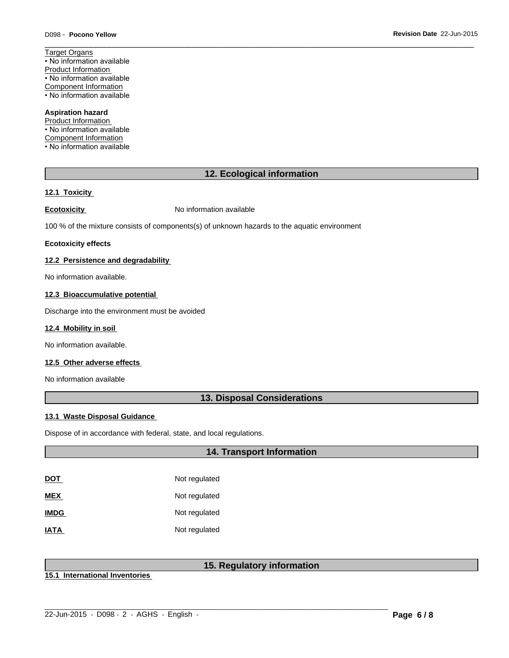Target Organs • No information available Product Information • No information available Component Information • No information available

### **Aspiration hazard**

Product Information • No information available Component Information • No information available

### **12. Ecological information**

 $\overline{\phantom{a}}$  ,  $\overline{\phantom{a}}$  ,  $\overline{\phantom{a}}$  ,  $\overline{\phantom{a}}$  ,  $\overline{\phantom{a}}$  ,  $\overline{\phantom{a}}$  ,  $\overline{\phantom{a}}$  ,  $\overline{\phantom{a}}$  ,  $\overline{\phantom{a}}$  ,  $\overline{\phantom{a}}$  ,  $\overline{\phantom{a}}$  ,  $\overline{\phantom{a}}$  ,  $\overline{\phantom{a}}$  ,  $\overline{\phantom{a}}$  ,  $\overline{\phantom{a}}$  ,  $\overline{\phantom{a}}$ 

#### **12.1 Toxicity**

**Ecotoxicity No information available** 

100 % of the mixture consists of components(s) of unknown hazards to the aquatic environment

#### **Ecotoxicity effects**

### **12.2 Persistence and degradability**

No information available.

#### **12.3 Bioaccumulative potential**

Discharge into the environment must be avoided

#### **12.4 Mobility in soil**

No information available.

### **12.5 Other adverse effects**

No information available

### **13. Disposal Considerations**

#### **13.1 Waste Disposal Guidance**

Dispose of in accordance with federal, state, and local regulations.

### **14. Transport Information**

| <u>DOT</u>  | Not regulated |
|-------------|---------------|
| <b>MEX</b>  | Not regulated |
| <b>IMDG</b> | Not regulated |
| <b>IATA</b> | Not regulated |

### **15. Regulatory information**

 $\_$  ,  $\_$  ,  $\_$  ,  $\_$  ,  $\_$  ,  $\_$  ,  $\_$  ,  $\_$  ,  $\_$  ,  $\_$  ,  $\_$  ,  $\_$  ,  $\_$  ,  $\_$  ,  $\_$  ,  $\_$  ,  $\_$  ,  $\_$  ,  $\_$  ,  $\_$  ,  $\_$  ,  $\_$  ,  $\_$  ,  $\_$  ,  $\_$  ,  $\_$  ,  $\_$  ,  $\_$  ,  $\_$  ,  $\_$  ,  $\_$  ,  $\_$  ,  $\_$  ,  $\_$  ,  $\_$  ,  $\_$  ,  $\_$  ,

**15.1 International Inventories**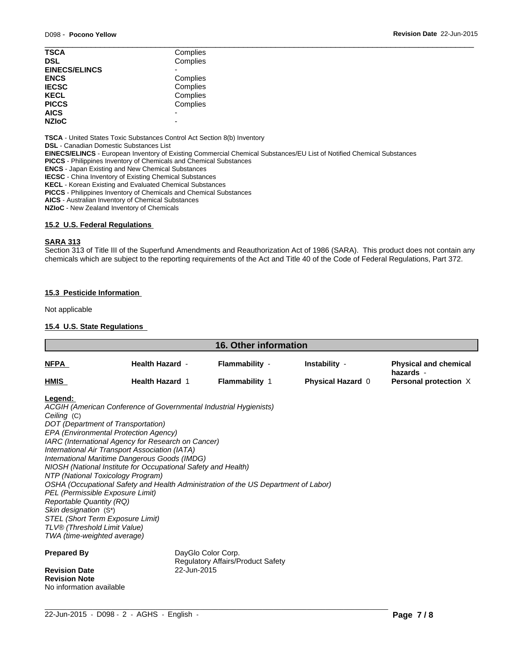| <b>TSCA</b>          | Complies |  |
|----------------------|----------|--|
| <b>DSL</b>           | Complies |  |
| <b>EINECS/ELINCS</b> |          |  |
| <b>ENCS</b>          | Complies |  |
| <b>IECSC</b>         | Complies |  |
| <b>KECL</b>          | Complies |  |
| <b>PICCS</b>         | Complies |  |
| <b>AICS</b>          |          |  |
| <b>NZIoC</b>         | -        |  |
|                      |          |  |

**TSCA** - United States Toxic Substances Control Act Section 8(b) Inventory

**DSL** - Canadian Domestic Substances List

**EINECS/ELINCS** - European Inventory of Existing Commercial Chemical Substances/EU List of Notified Chemical Substances

**PICCS** - Philippines Inventory of Chemicals and Chemical Substances

**ENCS** - Japan Existing and New Chemical Substances

**IECSC** - China Inventory of Existing Chemical Substances

**KECL** - Korean Existing and Evaluated Chemical Substances

**PICCS** - Philippines Inventory of Chemicals and Chemical Substances

**AICS** - Australian Inventory of Chemical Substances

**NZIoC** - New Zealand Inventory of Chemicals

#### **15.2 U.S. Federal Regulations**

#### **SARA 313**

Section 313 of Title III of the Superfund Amendments and Reauthorization Act of 1986 (SARA). This product does not contain any chemicals which are subject to the reporting requirements of the Act and Title 40 of the Code of Federal Regulations, Part 372.

### **15.3 Pesticide Information**

Not applicable

### **15.4 U.S. State Regulations**

| <u>NFPA</u>                                                                                                                                                                                                                                                                                                                                                                                                                                                                                                                                                                                                                                                                                                                        |                                                  |                                         |                                    |                                                                    |
|------------------------------------------------------------------------------------------------------------------------------------------------------------------------------------------------------------------------------------------------------------------------------------------------------------------------------------------------------------------------------------------------------------------------------------------------------------------------------------------------------------------------------------------------------------------------------------------------------------------------------------------------------------------------------------------------------------------------------------|--------------------------------------------------|-----------------------------------------|------------------------------------|--------------------------------------------------------------------|
|                                                                                                                                                                                                                                                                                                                                                                                                                                                                                                                                                                                                                                                                                                                                    | <b>Health Hazard -</b><br><b>Health Hazard 1</b> | Flammability -<br><b>Flammability 1</b> | Instability -<br>Physical Hazard 0 | <b>Physical and chemical</b><br>hazards -<br>Personal protection X |
| HMIS                                                                                                                                                                                                                                                                                                                                                                                                                                                                                                                                                                                                                                                                                                                               |                                                  |                                         |                                    |                                                                    |
| Legend:<br>ACGIH (American Conference of Governmental Industrial Hygienists)<br>Ceiling (C)<br>DOT (Department of Transportation)<br>EPA (Environmental Protection Agency)<br>IARC (International Agency for Research on Cancer)<br>International Air Transport Association (IATA)<br>International Maritime Dangerous Goods (IMDG)<br>NIOSH (National Institute for Occupational Safety and Health)<br>NTP (National Toxicology Program)<br>OSHA (Occupational Safety and Health Administration of the US Department of Labor)<br>PEL (Permissible Exposure Limit)<br><b>Reportable Quantity (RQ)</b><br>Skin designation (S*)<br>STEL (Short Term Exposure Limit)<br>TLV® (Threshold Limit Value)<br>TWA (time-weighted average) |                                                  |                                         |                                    |                                                                    |
| <b>Prepared By</b><br><b>Revision Date</b><br><b>Revision Note</b>                                                                                                                                                                                                                                                                                                                                                                                                                                                                                                                                                                                                                                                                 | DayGlo Color Corp.<br>22-Jun-2015                | Regulatory Affairs/Product Safety       |                                    |                                                                    |

 $\_$  ,  $\_$  ,  $\_$  ,  $\_$  ,  $\_$  ,  $\_$  ,  $\_$  ,  $\_$  ,  $\_$  ,  $\_$  ,  $\_$  ,  $\_$  ,  $\_$  ,  $\_$  ,  $\_$  ,  $\_$  ,  $\_$  ,  $\_$  ,  $\_$  ,  $\_$  ,  $\_$  ,  $\_$  ,  $\_$  ,  $\_$  ,  $\_$  ,  $\_$  ,  $\_$  ,  $\_$  ,  $\_$  ,  $\_$  ,  $\_$  ,  $\_$  ,  $\_$  ,  $\_$  ,  $\_$  ,  $\_$  ,  $\_$  ,

No information available